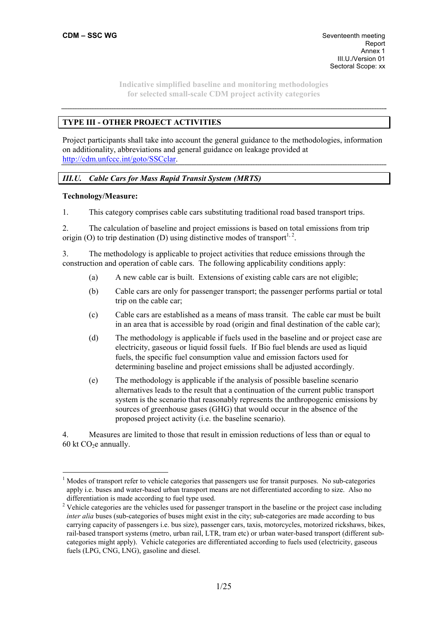# **TYPE III - OTHER PROJECT ACTIVITIES**

Project participants shall take into account the general guidance to the methodologies, information on additionality, abbreviations and general guidance on leakage provided at http://cdm.unfccc.int/goto/SSCclar.

# *III.U. Cable Cars for Mass Rapid Transit System (MRTS)*

#### **Technology/Measure:**

 $\overline{a}$ 

1. This category comprises cable cars substituting traditional road based transport trips.

2. The calculation of baseline and project emissions is based on total emissions from trip origin (O) to trip destination (D) using distinctive modes of transport<sup>1, 2</sup>.

3. The methodology is applicable to project activities that reduce emissions through the construction and operation of cable cars. The following applicability conditions apply:

- (a) A new cable car is built. Extensions of existing cable cars are not eligible;
- (b) Cable cars are only for passenger transport; the passenger performs partial or total trip on the cable car;
- (c) Cable cars are established as a means of mass transit. The cable car must be built in an area that is accessible by road (origin and final destination of the cable car);
- (d) The methodology is applicable if fuels used in the baseline and or project case are electricity, gaseous or liquid fossil fuels. If Bio fuel blends are used as liquid fuels, the specific fuel consumption value and emission factors used for determining baseline and project emissions shall be adjusted accordingly.
- (e) The methodology is applicable if the analysis of possible baseline scenario alternatives leads to the result that a continuation of the current public transport system is the scenario that reasonably represents the anthropogenic emissions by sources of greenhouse gases (GHG) that would occur in the absence of the proposed project activity (i.e. the baseline scenario).

4. Measures are limited to those that result in emission reductions of less than or equal to 60 kt  $CO<sub>2</sub>e$  annually.

<sup>&</sup>lt;sup>1</sup> Modes of transport refer to vehicle categories that passengers use for transit purposes. No sub-categories apply i.e. buses and water-based urban transport means are not differentiated according to size. Also no differentiation is made according to fuel type used.

 $2$  Vehicle categories are the vehicles used for passenger transport in the baseline or the project case including *inter alia* buses (sub-categories of buses might exist in the city; sub-categories are made according to bus carrying capacity of passengers i.e. bus size), passenger cars, taxis, motorcycles, motorized rickshaws, bikes, rail-based transport systems (metro, urban rail, LTR, tram etc) or urban water-based transport (different subcategories might apply). Vehicle categories are differentiated according to fuels used (electricity, gaseous fuels (LPG, CNG, LNG), gasoline and diesel.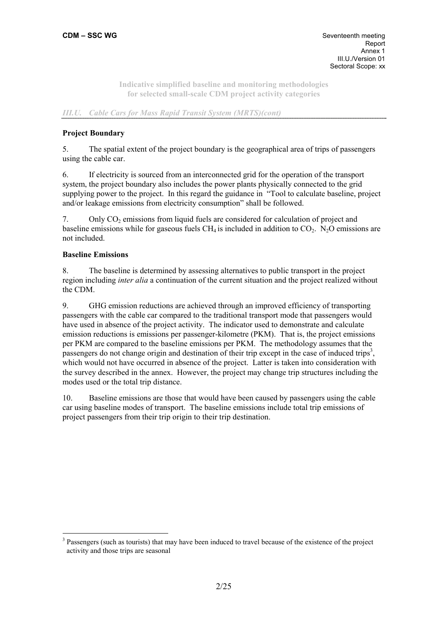## *III.U. Cable Cars for Mass Rapid Transit System (MRTS)(cont)*

## **Project Boundary**

5. The spatial extent of the project boundary is the geographical area of trips of passengers using the cable car.

6. If electricity is sourced from an interconnected grid for the operation of the transport system, the project boundary also includes the power plants physically connected to the grid supplying power to the project. In this regard the guidance in "Tool to calculate baseline, project and/or leakage emissions from electricity consumption" shall be followed.

7. Only CO2 emissions from liquid fuels are considered for calculation of project and baseline emissions while for gaseous fuels  $CH_4$  is included in addition to  $CO_2$ . N<sub>2</sub>O emissions are not included.

#### **Baseline Emissions**

 $\overline{a}$ 

8. The baseline is determined by assessing alternatives to public transport in the project region including *inter alia* a continuation of the current situation and the project realized without the CDM.

9. GHG emission reductions are achieved through an improved efficiency of transporting passengers with the cable car compared to the traditional transport mode that passengers would have used in absence of the project activity. The indicator used to demonstrate and calculate emission reductions is emissions per passenger-kilometre (PKM). That is, the project emissions per PKM are compared to the baseline emissions per PKM. The methodology assumes that the passengers do not change origin and destination of their trip except in the case of induced trips<sup>3</sup>, which would not have occurred in absence of the project. Latter is taken into consideration with the survey described in the annex. However, the project may change trip structures including the modes used or the total trip distance.

10. Baseline emissions are those that would have been caused by passengers using the cable car using baseline modes of transport. The baseline emissions include total trip emissions of project passengers from their trip origin to their trip destination.

<sup>&</sup>lt;sup>3</sup> Passengers (such as tourists) that may have been induced to travel because of the existence of the project activity and those trips are seasonal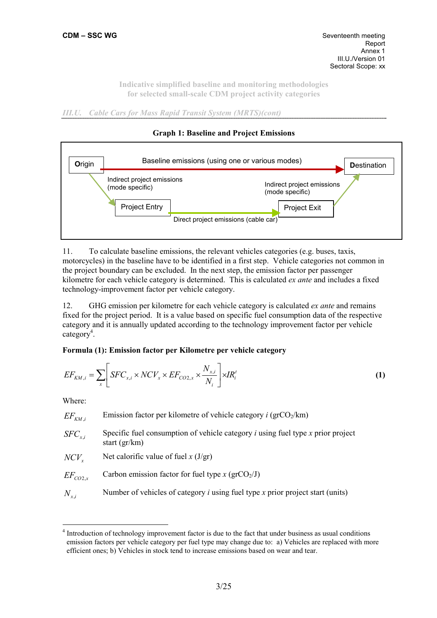*III.U. Cable Cars for Mass Rapid Transit System (MRTS)(cont)* 



## **Graph 1: Baseline and Project Emissions**

motorcycles) in the baseline have to be identified in a first step. Vehicle categories not common in the project boundary can be excluded. In the next step, the emission factor per passenger kilometre for each vehicle category is determined. This is calculated *ex ante* and includes a fixed technology-improvement factor per vehicle category.

11. To calculate baseline emissions, the relevant vehicles categories (e.g. buses, taxis,

12. GHG emission per kilometre for each vehicle category is calculated *ex ante* and remains fixed for the project period. It is a value based on specific fuel consumption data of the respective category and it is annually updated according to the technology improvement factor per vehicle category<sup>4</sup>.

# **Formula (1): Emission factor per Kilometre per vehicle category**

$$
EF_{KM,i} = \sum_{x} \left[ SFC_{x,i} \times NCV_{x} \times EF_{CO2,x} \times \frac{N_{x,i}}{N_{i}} \right] \times IR_{i}^{t}
$$
 (1)

Where:

 $\overline{a}$ 

| $\mathit{EF}_{\mathit{KM},i}$ | Emission factor per kilometre of vehicle category $i$ (grCO <sub>2</sub> /km) |
|-------------------------------|-------------------------------------------------------------------------------|
|-------------------------------|-------------------------------------------------------------------------------|

*XFC*<sub>*x*</sub> *Specific fuel consumption of vehicle category <i>i* **using fuel type** *x* **prior project** start (gr/km)

*NCV*<sub>*x*</sub> Net calorific value of fuel *x* (J/gr)

 $EF_{CO2x}$  Carbon emission factor for fuel type *x* (grCO<sub>2</sub>/J)

*N<sub>xi</sub>* Number of vehicles of category *i* using fuel type *x* prior project start (units)

<sup>&</sup>lt;sup>4</sup> Introduction of technology improvement factor is due to the fact that under business as usual conditions emission factors per vehicle category per fuel type may change due to: a) Vehicles are replaced with more efficient ones; b) Vehicles in stock tend to increase emissions based on wear and tear.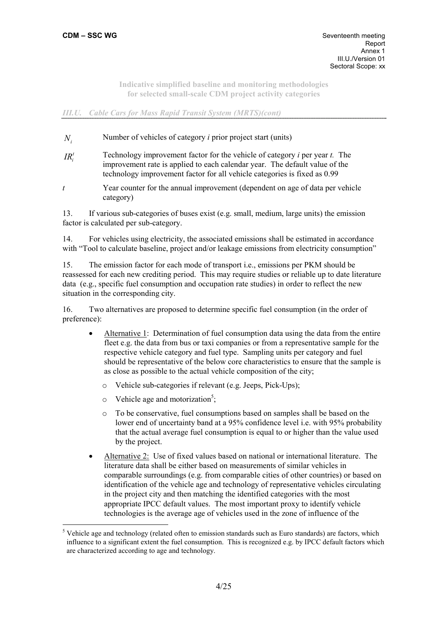## *III.U. Cable Cars for Mass Rapid Transit System (MRTS)(cont)*

- *N<sub>i</sub>* Number of vehicles of category *i* prior project start (units)
- $IR_i^t$ *<sup>i</sup> IR* Technology improvement factor for the vehicle of category *i* per year *t.* The improvement rate is applied to each calendar year. The default value of the technology improvement factor for all vehicle categories is fixed as 0.99
- *t* Year counter for the annual improvement (dependent on age of data per vehicle category)

13. If various sub-categories of buses exist (e.g. small, medium, large units) the emission factor is calculated per sub-category.

14. For vehicles using electricity, the associated emissions shall be estimated in accordance with "Tool to calculate baseline, project and/or leakage emissions from electricity consumption"

15. The emission factor for each mode of transport i.e., emissions per PKM should be reassessed for each new crediting period. This may require studies or reliable up to date literature data (e.g., specific fuel consumption and occupation rate studies) in order to reflect the new situation in the corresponding city.

16. Two alternatives are proposed to determine specific fuel consumption (in the order of preference):

- Alternative 1: Determination of fuel consumption data using the data from the entire fleet e.g. the data from bus or taxi companies or from a representative sample for the respective vehicle category and fuel type. Sampling units per category and fuel should be representative of the below core characteristics to ensure that the sample is as close as possible to the actual vehicle composition of the city;
	- o Vehicle sub-categories if relevant (e.g. Jeeps, Pick-Ups);
	- $\circ$  Vehicle age and motorization<sup>5</sup>;

 $\overline{a}$ 

- o To be conservative, fuel consumptions based on samples shall be based on the lower end of uncertainty band at a 95% confidence level *i.e.* with 95% probability that the actual average fuel consumption is equal to or higher than the value used by the project.
- Alternative 2: Use of fixed values based on national or international literature. The literature data shall be either based on measurements of similar vehicles in comparable surroundings (e.g. from comparable cities of other countries) or based on identification of the vehicle age and technology of representative vehicles circulating in the project city and then matching the identified categories with the most appropriate IPCC default values. The most important proxy to identify vehicle technologies is the average age of vehicles used in the zone of influence of the

<sup>&</sup>lt;sup>5</sup> Vehicle age and technology (related often to emission standards such as Euro standards) are factors, which influence to a significant extent the fuel consumption. This is recognized e.g. by IPCC default factors which are characterized according to age and technology.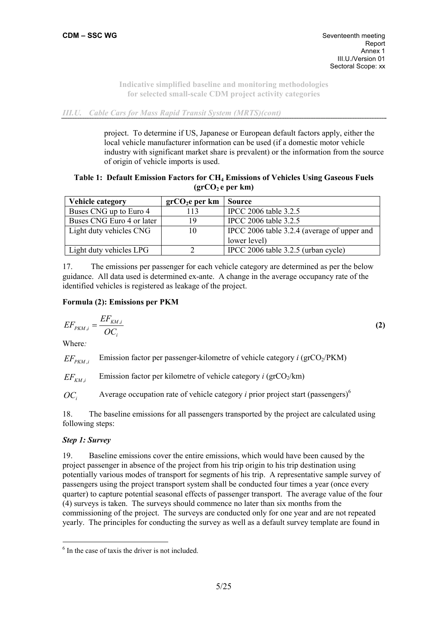*III.U. Cable Cars for Mass Rapid Transit System (MRTS)(cont)* 

project. To determine if US, Japanese or European default factors apply, either the local vehicle manufacturer information can be used (if a domestic motor vehicle industry with significant market share is prevalent) or the information from the source of origin of vehicle imports is used.

## **Table 1: Default Emission Factors for CH4 Emissions of Vehicles Using Gaseous Fuels**  (grCO<sub>2</sub> e per km)

| <b>Vehicle category</b>   | grCO <sub>2</sub> e per km | <b>Source</b>                               |
|---------------------------|----------------------------|---------------------------------------------|
| Buses CNG up to Euro 4    | 113                        | IPCC 2006 table 3.2.5                       |
| Buses CNG Euro 4 or later | 19                         | IPCC 2006 table 3.2.5                       |
| Light duty vehicles CNG   | 10                         | IPCC 2006 table 3.2.4 (average of upper and |
|                           |                            | lower level)                                |
| Light duty vehicles LPG   |                            | IPCC 2006 table $3.2.5$ (urban cycle)       |

17. The emissions per passenger for each vehicle category are determined as per the below guidance. All data used is determined ex-ante. A change in the average occupancy rate of the identified vehicles is registered as leakage of the project.

# **Formula (2): Emissions per PKM**

$$
EF_{PKM,i} = \frac{EF_{KM,i}}{OC_i}
$$
 (2)

Where*:* 

 $EF_{p_{kM,i}}$  Emission factor per passenger-kilometre of vehicle category *i* (grCO<sub>2</sub>/PKM)

 $EF_{kM,i}$  Emission factor per kilometre of vehicle category *i* (grCO<sub>2</sub>/km)

 $OC<sub>i</sub>$  Average occupation rate of vehicle category *i* prior project start (passengers)<sup>6</sup>

18. The baseline emissions for all passengers transported by the project are calculated using following steps:

# *Step 1: Survey*

 $\overline{a}$ 

19. Baseline emissions cover the entire emissions, which would have been caused by the project passenger in absence of the project from his trip origin to his trip destination using potentially various modes of transport for segments of his trip. A representative sample survey of passengers using the project transport system shall be conducted four times a year (once every quarter) to capture potential seasonal effects of passenger transport. The average value of the four (4) surveys is taken. The surveys should commence no later than six months from the commissioning of the project. The surveys are conducted only for one year and are not repeated yearly. The principles for conducting the survey as well as a default survey template are found in

<sup>6</sup> In the case of taxis the driver is not included.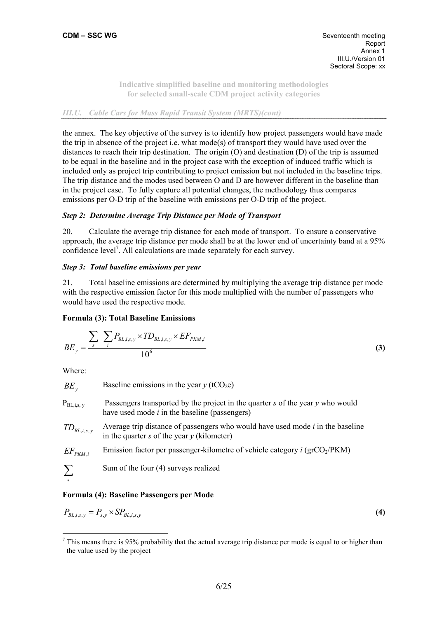# *III.U. Cable Cars for Mass Rapid Transit System (MRTS)(cont)*

the annex. The key objective of the survey is to identify how project passengers would have made the trip in absence of the project i.e. what mode(s) of transport they would have used over the distances to reach their trip destination. The origin (O) and destination (D) of the trip is assumed to be equal in the baseline and in the project case with the exception of induced traffic which is included only as project trip contributing to project emission but not included in the baseline trips. The trip distance and the modes used between O and D are however different in the baseline than in the project case. To fully capture all potential changes, the methodology thus compares emissions per O-D trip of the baseline with emissions per O-D trip of the project.

## *Step 2: Determine Average Trip Distance per Mode of Transport*

20. Calculate the average trip distance for each mode of transport. To ensure a conservative approach, the average trip distance per mode shall be at the lower end of uncertainty band at a 95% confidence level<sup>7</sup>. All calculations are made separately for each survey.

## *Step 3: Total baseline emissions per year*

21. Total baseline emissions are determined by multiplying the average trip distance per mode with the respective emission factor for this mode multiplied with the number of passengers who would have used the respective mode.

#### **Formula (3): Total Baseline Emissions**

$$
BE_{y} = \frac{\sum_{s} \sum_{i} P_{BL,i,s,y} \times TD_{BL,i,s,y} \times EF_{PKM,i}}{10^{6}}
$$
 (3)

Where:

 $\overline{a}$ 

| $BE_{v}$        | Baseline emissions in the year $y$ (tCO <sub>2</sub> e)                                                                               |
|-----------------|---------------------------------------------------------------------------------------------------------------------------------------|
| $P_{BL,i,s, y}$ | Passengers transported by the project in the quarter $s$ of the year $y$ who would<br>have used mode $i$ in the baseline (passengers) |
| $TD_{BL,i,s,y}$ | Average trip distance of passengers who would have used mode <i>i</i> in the baseline<br>in the quarter s of the year $y$ (kilometer) |
| $EF_{PKM,i}$    | Emission factor per passenger-kilometre of vehicle category $i$ (grCO <sub>2</sub> /PKM)                                              |
| $\sum$<br>S     | Sum of the four (4) surveys realized                                                                                                  |

#### **Formula (4): Baseline Passengers per Mode**

$$
P_{BL,i,s,y} = P_{s,y} \times SP_{BL,i,s,y} \tag{4}
$$

 $<sup>7</sup>$  This means there is 95% probability that the actual average trip distance per mode is equal to or higher than</sup> the value used by the project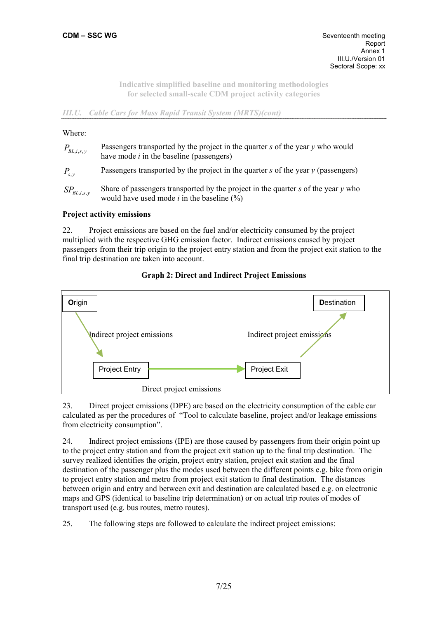# *III.U. Cable Cars for Mass Rapid Transit System (MRTS)(cont)*

### Where:

| $P_{BL,i,s,y}$    | Passengers transported by the project in the quarter $s$ of the year $\gamma$ who would<br>have mode $i$ in the baseline (passengers)         |
|-------------------|-----------------------------------------------------------------------------------------------------------------------------------------------|
| $P_{s,v}$         | Passengers transported by the project in the quarter $s$ of the year $y$ (passengers)                                                         |
| $SP_{BL,i,s,\nu}$ | Share of passengers transported by the project in the quarter $s$ of the year $y$ who<br>would have used mode <i>i</i> in the baseline $(\%)$ |

# **Project activity emissions**

22. Project emissions are based on the fuel and/or electricity consumed by the project multiplied with the respective GHG emission factor. Indirect emissions caused by project passengers from their trip origin to the project entry station and from the project exit station to the final trip destination are taken into account.

## **Graph 2: Direct and Indirect Project Emissions**



23. Direct project emissions (DPE) are based on the electricity consumption of the cable car calculated as per the procedures of "Tool to calculate baseline, project and/or leakage emissions from electricity consumption".

24. Indirect project emissions (IPE) are those caused by passengers from their origin point up to the project entry station and from the project exit station up to the final trip destination. The survey realized identifies the origin, project entry station, project exit station and the final destination of the passenger plus the modes used between the different points e.g. bike from origin to project entry station and metro from project exit station to final destination. The distances between origin and entry and between exit and destination are calculated based e.g. on electronic maps and GPS (identical to baseline trip determination) or on actual trip routes of modes of transport used (e.g. bus routes, metro routes).

25. The following steps are followed to calculate the indirect project emissions: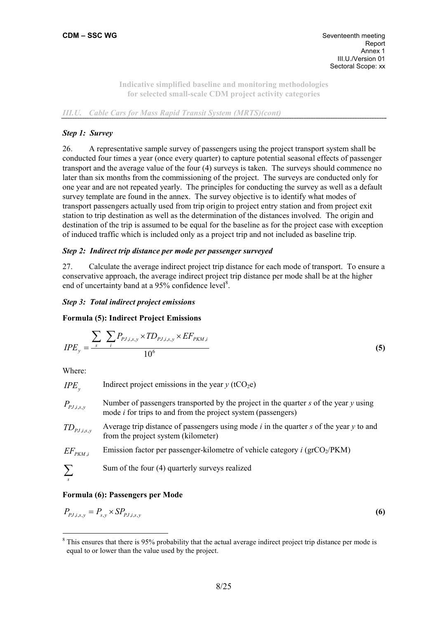# *III.U. Cable Cars for Mass Rapid Transit System (MRTS)(cont)*

# *Step 1: Survey*

26. A representative sample survey of passengers using the project transport system shall be conducted four times a year (once every quarter) to capture potential seasonal effects of passenger transport and the average value of the four (4) surveys is taken. The surveys should commence no later than six months from the commissioning of the project. The surveys are conducted only for one year and are not repeated yearly. The principles for conducting the survey as well as a default survey template are found in the annex. The survey objective is to identify what modes of transport passengers actually used from trip origin to project entry station and from project exit station to trip destination as well as the determination of the distances involved. The origin and destination of the trip is assumed to be equal for the baseline as for the project case with exception of induced traffic which is included only as a project trip and not included as baseline trip.

# *Step 2: Indirect trip distance per mode per passenger surveyed*

27. Calculate the average indirect project trip distance for each mode of transport. To ensure a conservative approach, the average indirect project trip distance per mode shall be at the higher end of uncertainty band at a 95% confidence level<sup>8</sup>.

# *Step 3: Total indirect project emissions*

# **Formula (5): Indirect Project Emissions**

$$
IPE_{y} = \frac{\sum_{s} \sum_{i} P_{p_{J,i,s,y}} \times TD_{p_{J,i,s,y}} \times EF_{PKM,i}}{10^{6}}
$$
 (5)

Where:

*IPE* Indirect project emissions in the year  $y$  (tCO<sub>2</sub>e)  $P_{PI}$  , *i*,*y* Number of passengers transported by the project in the quarter *s* of the year *y* using mode *i* for trips to and from the project system (passengers) *TD<sub>PI is</sub>*, Average trip distance of passengers using mode *i* in the quarter *s* of the year *y* to and from the project system (kilometer)  $EF_{PKM,i}$  Emission factor per passenger-kilometre of vehicle category *i* (grCO<sub>2</sub>/PKM) ∑*s* Sum of the four (4) quarterly surveys realized

# **Formula (6): Passengers per Mode**

$$
P_{p_{J,i,s,y}} = P_{s,y} \times SP_{p_{J,i,s,y}} \tag{6}
$$

 $\overline{a}$ <sup>8</sup> This ensures that there is 95% probability that the actual average indirect project trip distance per mode is equal to or lower than the value used by the project.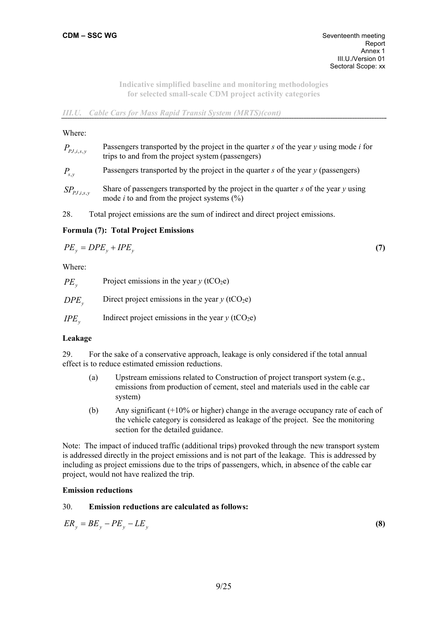## *III.U. Cable Cars for Mass Rapid Transit System (MRTS)(cont)*

#### Where:

| $P_{pJ,i,s,y}$  | Passengers transported by the project in the quarter s of the year $y$ using mode i for<br>trips to and from the project system (passengers)                          |
|-----------------|-----------------------------------------------------------------------------------------------------------------------------------------------------------------------|
| $P_{s,v}$       | Passengers transported by the project in the quarter $s$ of the year $y$ (passengers)                                                                                 |
| $SP_{PJ,i,s,y}$ | Share of passengers transported by the project in the quarter $s$ of the year $v$ using<br>mode <i>i</i> to and from the project systems $\left(\frac{\%}{\%}\right)$ |
|                 |                                                                                                                                                                       |

28. Total project emissions are the sum of indirect and direct project emissions.

# **Formula (7): Total Project Emissions**

$$
PE_y = DPE_y + IPE_y \tag{7}
$$

Where:

| $PE_{v}$  | Project emissions in the year $y$ (tCO <sub>2</sub> e)        |
|-----------|---------------------------------------------------------------|
| $DPE_{v}$ | Direct project emissions in the year $y$ (tCO <sub>2</sub> e) |

*IPE* Indirect project emissions in the year  $y$  (tCO<sub>2</sub>e)

# **Leakage**

29. For the sake of a conservative approach, leakage is only considered if the total annual effect is to reduce estimated emission reductions.

- (a) Upstream emissions related to Construction of project transport system (e.g., emissions from production of cement, steel and materials used in the cable car system)
- (b) Any significant (+10% or higher) change in the average occupancy rate of each of the vehicle category is considered as leakage of the project. See the monitoring section for the detailed guidance.

Note: The impact of induced traffic (additional trips) provoked through the new transport system is addressed directly in the project emissions and is not part of the leakage. This is addressed by including as project emissions due to the trips of passengers, which, in absence of the cable car project, would not have realized the trip.

#### **Emission reductions**

## 30. **Emission reductions are calculated as follows:**

$$
ER_y = BE_y - PE_y - LE_y \tag{8}
$$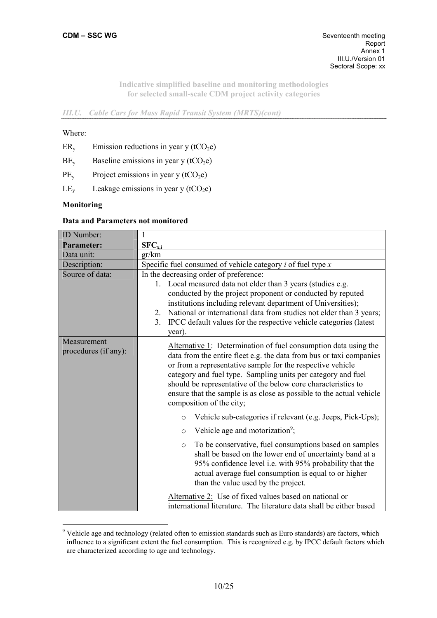*III.U. Cable Cars for Mass Rapid Transit System (MRTS)(cont)* 

#### Where:

- $ER<sub>y</sub>$  Emission reductions in year y (tCO<sub>2</sub>e)
- $BE<sub>v</sub>$  Baseline emissions in year y (tCO<sub>2</sub>e)
- $PE<sub>v</sub>$  Project emissions in year y (tCO<sub>2</sub>e)
- $LE<sub>v</sub>$  Leakage emissions in year y (tCO<sub>2</sub>e)

#### **Monitoring**

 $\overline{a}$ 

#### **Data and Parameters not monitored**

| ID Number:                          | 1                                                                                                                                                                                                                                                                                                                                                                                                                                         |  |  |
|-------------------------------------|-------------------------------------------------------------------------------------------------------------------------------------------------------------------------------------------------------------------------------------------------------------------------------------------------------------------------------------------------------------------------------------------------------------------------------------------|--|--|
| <b>Parameter:</b>                   | $SFC_{x,i}$                                                                                                                                                                                                                                                                                                                                                                                                                               |  |  |
| Data unit:                          | gr/km                                                                                                                                                                                                                                                                                                                                                                                                                                     |  |  |
| Description:                        | Specific fuel consumed of vehicle category $i$ of fuel type $x$                                                                                                                                                                                                                                                                                                                                                                           |  |  |
| Source of data:                     | In the decreasing order of preference:                                                                                                                                                                                                                                                                                                                                                                                                    |  |  |
|                                     | 1. Local measured data not elder than 3 years (studies e.g.<br>conducted by the project proponent or conducted by reputed<br>institutions including relevant department of Universities);<br>National or international data from studies not elder than 3 years;<br>2.<br>IPCC default values for the respective vehicle categories (latest<br>3 <sub>1</sub><br>year).                                                                   |  |  |
| Measurement<br>procedures (if any): | Alternative 1: Determination of fuel consumption data using the<br>data from the entire fleet e.g. the data from bus or taxi companies<br>or from a representative sample for the respective vehicle<br>category and fuel type. Sampling units per category and fuel<br>should be representative of the below core characteristics to<br>ensure that the sample is as close as possible to the actual vehicle<br>composition of the city; |  |  |
|                                     | Vehicle sub-categories if relevant (e.g. Jeeps, Pick-Ups);<br>$\circ$                                                                                                                                                                                                                                                                                                                                                                     |  |  |
|                                     | Vehicle age and motorization <sup>9</sup> ;<br>$\circ$                                                                                                                                                                                                                                                                                                                                                                                    |  |  |
|                                     | To be conservative, fuel consumptions based on samples<br>$\circ$<br>shall be based on the lower end of uncertainty band at a<br>95% confidence level i.e. with 95% probability that the<br>actual average fuel consumption is equal to or higher<br>than the value used by the project.                                                                                                                                                  |  |  |
|                                     | Alternative 2: Use of fixed values based on national or<br>international literature. The literature data shall be either based                                                                                                                                                                                                                                                                                                            |  |  |

<sup>&</sup>lt;sup>9</sup> Vehicle age and technology (related often to emission standards such as Euro standards) are factors, which influence to a significant extent the fuel consumption. This is recognized e.g. by IPCC default factors which are characterized according to age and technology.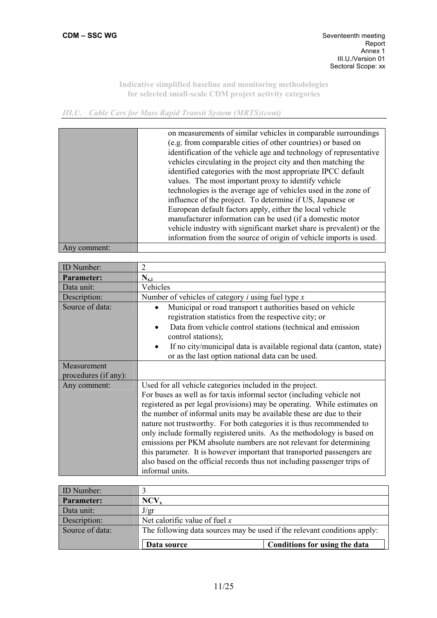H

**Indicative simplified baseline and monitoring methodologies for selected small-scale CDM project activity categories** 

*III.U. Cable Cars for Mass Rapid Transit System (MRTS)(cont)* 

| on measurements of similar vehicles in comparable surroundings<br>(e.g. from comparable cities of other countries) or based on<br>identification of the vehicle age and technology of representative<br>vehicles circulating in the project city and then matching the<br>identified categories with the most appropriate IPCC default<br>values. The most important proxy to identify vehicle<br>technologies is the average age of vehicles used in the zone of<br>influence of the project. To determine if US, Japanese or<br>European default factors apply, either the local vehicle<br>manufacturer information can be used (if a domestic motor<br>vehicle industry with significant market share is prevalent) or the<br>information from the source of origin of vehicle imports is used. |
|-----------------------------------------------------------------------------------------------------------------------------------------------------------------------------------------------------------------------------------------------------------------------------------------------------------------------------------------------------------------------------------------------------------------------------------------------------------------------------------------------------------------------------------------------------------------------------------------------------------------------------------------------------------------------------------------------------------------------------------------------------------------------------------------------------|
|                                                                                                                                                                                                                                                                                                                                                                                                                                                                                                                                                                                                                                                                                                                                                                                                     |

Any comment:

| <b>ID</b> Number:                   | 2                                                                                                                                                                                                                                                                                                                                                                                                                                                                                                                                                                                                                                                                                         |
|-------------------------------------|-------------------------------------------------------------------------------------------------------------------------------------------------------------------------------------------------------------------------------------------------------------------------------------------------------------------------------------------------------------------------------------------------------------------------------------------------------------------------------------------------------------------------------------------------------------------------------------------------------------------------------------------------------------------------------------------|
| <b>Parameter:</b>                   | $N_{x,i}$                                                                                                                                                                                                                                                                                                                                                                                                                                                                                                                                                                                                                                                                                 |
| Data unit:                          | Vehicles                                                                                                                                                                                                                                                                                                                                                                                                                                                                                                                                                                                                                                                                                  |
| Description:                        | Number of vehicles of category $i$ using fuel type $x$                                                                                                                                                                                                                                                                                                                                                                                                                                                                                                                                                                                                                                    |
| Source of data:                     | Municipal or road transport t authorities based on vehicle<br>$\bullet$<br>registration statistics from the respective city; or<br>Data from vehicle control stations (technical and emission<br>$\bullet$<br>control stations);<br>If no city/municipal data is available regional data (canton, state)<br>$\bullet$<br>or as the last option national data can be used.                                                                                                                                                                                                                                                                                                                 |
| Measurement<br>procedures (if any): |                                                                                                                                                                                                                                                                                                                                                                                                                                                                                                                                                                                                                                                                                           |
| Any comment:                        | Used for all vehicle categories included in the project.<br>For buses as well as for taxis informal sector (including vehicle not<br>registered as per legal provisions) may be operating. While estimates on<br>the number of informal units may be available these are due to their<br>nature not trustworthy. For both categories it is thus recommended to<br>only include formally registered units. As the methodology is based on<br>emissions per PKM absolute numbers are not relevant for determining<br>this parameter. It is however important that transported passengers are<br>also based on the official records thus not including passenger trips of<br>informal units. |

| <b>ID</b> Number: |                                                                          |                               |  |
|-------------------|--------------------------------------------------------------------------|-------------------------------|--|
| Parameter:        | NCV,                                                                     |                               |  |
| Data unit:        | J/gr                                                                     |                               |  |
| Description:      | Net calorific value of fuel $x$                                          |                               |  |
| Source of data:   | The following data sources may be used if the relevant conditions apply: |                               |  |
|                   | Data source                                                              | Conditions for using the data |  |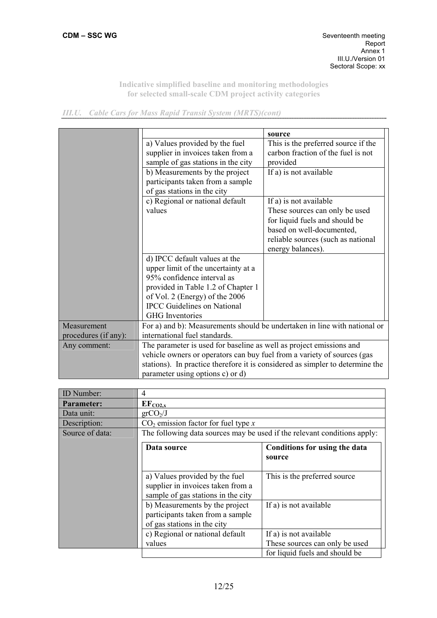|  |  | <b>III.U.</b> Cable Cars for Mass Rapid Transit System (MRTS)(cont) |
|--|--|---------------------------------------------------------------------|
|  |  |                                                                     |

|                      |                                                                               | source                              |  |
|----------------------|-------------------------------------------------------------------------------|-------------------------------------|--|
|                      | a) Values provided by the fuel                                                | This is the preferred source if the |  |
|                      | supplier in invoices taken from a                                             | carbon fraction of the fuel is not  |  |
|                      | sample of gas stations in the city                                            | provided                            |  |
|                      | b) Measurements by the project                                                | If a) is not available              |  |
|                      | participants taken from a sample                                              |                                     |  |
|                      | of gas stations in the city                                                   |                                     |  |
|                      | c) Regional or national default                                               | If a) is not available              |  |
|                      | values                                                                        | These sources can only be used      |  |
|                      |                                                                               | for liquid fuels and should be      |  |
|                      |                                                                               | based on well-documented,           |  |
|                      |                                                                               | reliable sources (such as national  |  |
|                      |                                                                               | energy balances).                   |  |
|                      | d) IPCC default values at the                                                 |                                     |  |
|                      | upper limit of the uncertainty at a                                           |                                     |  |
|                      | 95% confidence interval as                                                    |                                     |  |
|                      | provided in Table 1.2 of Chapter 1                                            |                                     |  |
|                      | of Vol. 2 (Energy) of the 2006                                                |                                     |  |
|                      | <b>IPCC</b> Guidelines on National                                            |                                     |  |
|                      | <b>GHG</b> Inventories                                                        |                                     |  |
| Measurement          | For a) and b): Measurements should be undertaken in line with national or     |                                     |  |
| procedures (if any): | international fuel standards.                                                 |                                     |  |
| Any comment:         | The parameter is used for baseline as well as project emissions and           |                                     |  |
|                      | vehicle owners or operators can buy fuel from a variety of sources (gas       |                                     |  |
|                      | stations). In practice therefore it is considered as simpler to determine the |                                     |  |
|                      |                                                                               |                                     |  |
|                      | parameter using options c) or d)                                              |                                     |  |

| ID Number:      | 4                                                                                                         |                                         |  |
|-----------------|-----------------------------------------------------------------------------------------------------------|-----------------------------------------|--|
| Parameter:      | $EF_{\frac{CO2, x}{}}$                                                                                    |                                         |  |
| Data unit:      | grCO <sub>2</sub> /J                                                                                      |                                         |  |
| Description:    | $CO2$ emission factor for fuel type x                                                                     |                                         |  |
| Source of data: | The following data sources may be used if the relevant conditions apply:                                  |                                         |  |
|                 | Data source                                                                                               | Conditions for using the data<br>source |  |
|                 | a) Values provided by the fuel<br>supplier in invoices taken from a<br>sample of gas stations in the city | This is the preferred source.           |  |
|                 | b) Measurements by the project<br>participants taken from a sample<br>of gas stations in the city         | If a) is not available                  |  |
|                 | c) Regional or national default                                                                           | If a) is not available                  |  |
|                 | values                                                                                                    | These sources can only be used          |  |
|                 |                                                                                                           | for liquid fuels and should be          |  |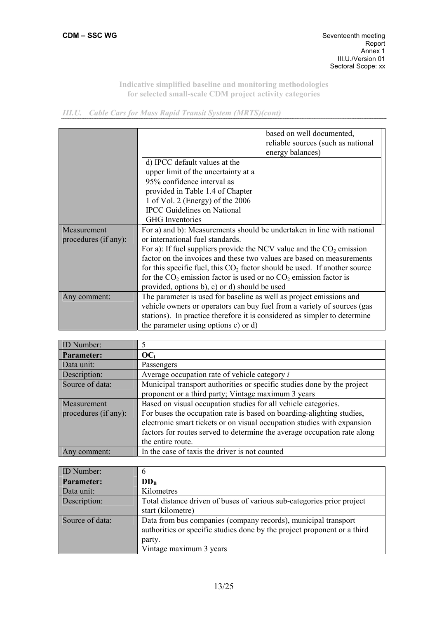|  |  | <b>III.U.</b> Cable Cars for Mass Rapid Transit System (MRTS)(cont) |
|--|--|---------------------------------------------------------------------|
|  |  |                                                                     |

|                      |                                                                             | based on well documented,          |  |
|----------------------|-----------------------------------------------------------------------------|------------------------------------|--|
|                      |                                                                             | reliable sources (such as national |  |
|                      |                                                                             | energy balances)                   |  |
|                      | d) IPCC default values at the                                               |                                    |  |
|                      | upper limit of the uncertainty at a                                         |                                    |  |
|                      | 95% confidence interval as                                                  |                                    |  |
|                      | provided in Table 1.4 of Chapter                                            |                                    |  |
|                      | 1 of Vol. 2 (Energy) of the 2006                                            |                                    |  |
|                      | <b>IPCC</b> Guidelines on National                                          |                                    |  |
|                      | <b>GHG</b> Inventories                                                      |                                    |  |
| Measurement          | For a) and b): Measurements should be undertaken in line with national      |                                    |  |
| procedures (if any): | or international fuel standards.                                            |                                    |  |
|                      | For a): If fuel suppliers provide the NCV value and the $CO2$ emission      |                                    |  |
|                      | factor on the invoices and these two values are based on measurements       |                                    |  |
|                      | for this specific fuel, this $CO2$ factor should be used. If another source |                                    |  |
|                      | for the $CO_2$ emission factor is used or no $CO_2$ emission factor is      |                                    |  |
|                      | provided, options b), c) or d) should be used                               |                                    |  |
| Any comment:         | The parameter is used for baseline as well as project emissions and         |                                    |  |
|                      | vehicle owners or operators can buy fuel from a variety of sources (gas     |                                    |  |
|                      | stations). In practice therefore it is considered as simpler to determine   |                                    |  |
|                      | the parameter using options c) or d)                                        |                                    |  |

| ID Number:           |                                                                          |
|----------------------|--------------------------------------------------------------------------|
| Parameter:           | $OC_i$                                                                   |
| Data unit:           | Passengers                                                               |
| Description:         | Average occupation rate of vehicle category <i>i</i>                     |
| Source of data:      | Municipal transport authorities or specific studies done by the project  |
|                      | proponent or a third party; Vintage maximum 3 years                      |
| Measurement          | Based on visual occupation studies for all vehicle categories.           |
| procedures (if any): | For buses the occupation rate is based on boarding-alighting studies,    |
|                      | electronic smart tickets or on visual occupation studies with expansion  |
|                      | factors for routes served to determine the average occupation rate along |
|                      | the entire route.                                                        |
| Any comment:         | In the case of taxis the driver is not counted                           |

| ID Number:      | 0                                                                        |
|-----------------|--------------------------------------------------------------------------|
| Parameter:      | $DD_{B}$                                                                 |
| Data unit:      | Kilometres                                                               |
| Description:    | Total distance driven of buses of various sub-categories prior project   |
|                 | start (kilometre)                                                        |
| Source of data: | Data from bus companies (company records), municipal transport           |
|                 | authorities or specific studies done by the project proponent or a third |
|                 | party.                                                                   |
|                 | Vintage maximum 3 years                                                  |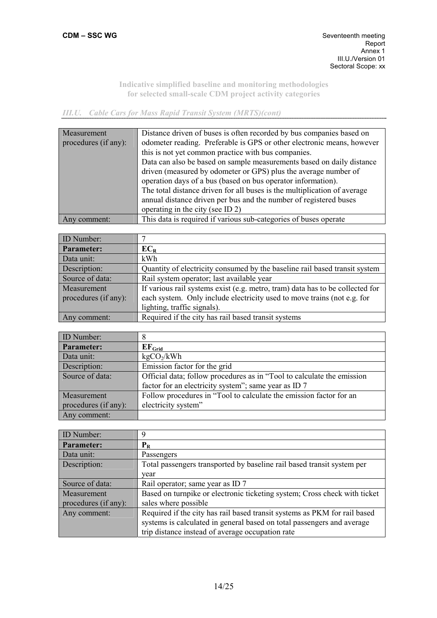*III.U. Cable Cars for Mass Rapid Transit System (MRTS)(cont)* 

| Measurement          | Distance driven of buses is often recorded by bus companies based on     |
|----------------------|--------------------------------------------------------------------------|
| procedures (if any): | odometer reading. Preferable is GPS or other electronic means, however   |
|                      | this is not yet common practice with bus companies.                      |
|                      | Data can also be based on sample measurements based on daily distance    |
|                      | driven (measured by odometer or GPS) plus the average number of          |
|                      | operation days of a bus (based on bus operator information).             |
|                      | The total distance driven for all buses is the multiplication of average |
|                      | annual distance driven per bus and the number of registered buses        |
|                      | operating in the city (see ID 2)                                         |
| Any comment:         | This data is required if various sub-categories of buses operate         |

| ID Number:           |                                                                               |
|----------------------|-------------------------------------------------------------------------------|
| Parameter:           | $EC_R$                                                                        |
| Data unit:           | kWh                                                                           |
| Description:         | Quantity of electricity consumed by the baseline rail based transit system    |
| Source of data:      | Rail system operator; last available year                                     |
| Measurement          | If various rail systems exist (e.g. metro, tram) data has to be collected for |
| procedures (if any): | each system. Only include electricity used to move trains (not e.g. for       |
|                      | lighting, traffic signals).                                                   |
| Any comment:         | Required if the city has rail based transit systems                           |

| <b>ID</b> Number:    | 8                                                                      |
|----------------------|------------------------------------------------------------------------|
| Parameter:           | EF <sub>Grid</sub>                                                     |
| Data unit:           | kgCO <sub>2</sub> /kWh                                                 |
| Description:         | Emission factor for the grid                                           |
| Source of data:      | Official data; follow procedures as in "Tool to calculate the emission |
|                      | factor for an electricity system"; same year as ID 7                   |
| Measurement          | Follow procedures in "Tool to calculate the emission factor for an     |
| procedures (if any): | electricity system"                                                    |
| Any comment:         |                                                                        |

| <b>ID</b> Number:    | 9                                                                         |
|----------------------|---------------------------------------------------------------------------|
| <b>Parameter:</b>    | $P_R$                                                                     |
| Data unit:           | Passengers                                                                |
| Description:         | Total passengers transported by baseline rail based transit system per    |
|                      | year                                                                      |
| Source of data:      | Rail operator; same year as ID 7                                          |
| Measurement          | Based on turnpike or electronic ticketing system; Cross check with ticket |
| procedures (if any): | sales where possible                                                      |
| Any comment:         | Required if the city has rail based transit systems as PKM for rail based |
|                      | systems is calculated in general based on total passengers and average    |
|                      | trip distance instead of average occupation rate                          |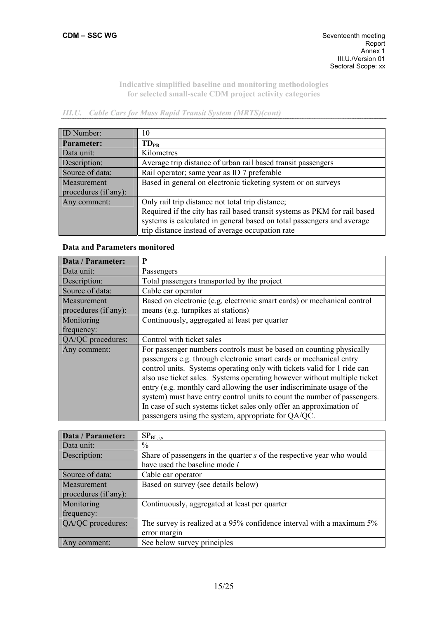# *III.U. Cable Cars for Mass Rapid Transit System (MRTS)(cont)*

| ID Number:           | 10                                                                        |
|----------------------|---------------------------------------------------------------------------|
| Parameter:           | $TD_{PR}$                                                                 |
| Data unit:           | Kilometres                                                                |
| Description:         | Average trip distance of urban rail based transit passengers              |
| Source of data:      | Rail operator; same year as ID 7 preferable                               |
| Measurement          | Based in general on electronic ticketing system or on surveys             |
| procedures (if any): |                                                                           |
| Any comment:         | Only rail trip distance not total trip distance;                          |
|                      | Required if the city has rail based transit systems as PKM for rail based |
|                      | systems is calculated in general based on total passengers and average    |
|                      | trip distance instead of average occupation rate                          |

# **Data and Parameters monitored**

| Data / Parameter:                   | P                                                                                                                                                                                                                                                                                                                                                                                                                                                                                                                                                                                    |
|-------------------------------------|--------------------------------------------------------------------------------------------------------------------------------------------------------------------------------------------------------------------------------------------------------------------------------------------------------------------------------------------------------------------------------------------------------------------------------------------------------------------------------------------------------------------------------------------------------------------------------------|
| Data unit:                          | Passengers                                                                                                                                                                                                                                                                                                                                                                                                                                                                                                                                                                           |
| Description:                        | Total passengers transported by the project                                                                                                                                                                                                                                                                                                                                                                                                                                                                                                                                          |
| Source of data:                     | Cable car operator                                                                                                                                                                                                                                                                                                                                                                                                                                                                                                                                                                   |
| Measurement<br>procedures (if any): | Based on electronic (e.g. electronic smart cards) or mechanical control<br>means (e.g. turnpikes at stations)                                                                                                                                                                                                                                                                                                                                                                                                                                                                        |
| Monitoring<br>frequency:            | Continuously, aggregated at least per quarter                                                                                                                                                                                                                                                                                                                                                                                                                                                                                                                                        |
| QA/QC procedures:                   | Control with ticket sales                                                                                                                                                                                                                                                                                                                                                                                                                                                                                                                                                            |
| Any comment:                        | For passenger numbers controls must be based on counting physically<br>passengers e.g. through electronic smart cards or mechanical entry<br>control units. Systems operating only with tickets valid for 1 ride can<br>also use ticket sales. Systems operating however without multiple ticket<br>entry (e.g. monthly card allowing the user indiscriminate usage of the<br>system) must have entry control units to count the number of passengers.<br>In case of such systems ticket sales only offer an approximation of<br>passengers using the system, appropriate for QA/QC. |

| Data / Parameter:    | $\mathrm{SP}_{\mathrm{BL, i, s}}$                                     |
|----------------------|-----------------------------------------------------------------------|
| Data unit:           | $\frac{0}{0}$                                                         |
| Description:         | Share of passengers in the quarter s of the respective year who would |
|                      | have used the baseline mode <i>i</i>                                  |
| Source of data:      | Cable car operator                                                    |
| Measurement          | Based on survey (see details below)                                   |
| procedures (if any): |                                                                       |
| Monitoring           | Continuously, aggregated at least per quarter                         |
| frequency:           |                                                                       |
| QA/QC procedures:    | The survey is realized at a 95% confidence interval with a maximum 5% |
|                      | error margin                                                          |
| Any comment:         | See below survey principles                                           |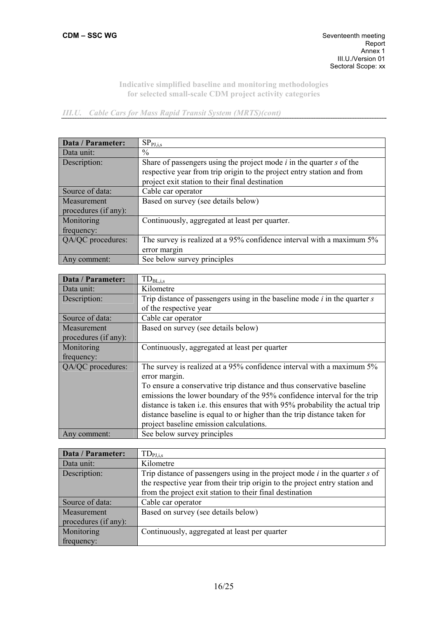*III.U. Cable Cars for Mass Rapid Transit System (MRTS)(cont)* 

| Data / Parameter:    | SP <sub>PI,i,s</sub>                                                     |
|----------------------|--------------------------------------------------------------------------|
| Data unit:           | $\frac{0}{0}$                                                            |
| Description:         | Share of passengers using the project mode $i$ in the quarter $s$ of the |
|                      | respective year from trip origin to the project entry station and from   |
|                      | project exit station to their final destination                          |
| Source of data:      | Cable car operator                                                       |
| Measurement          | Based on survey (see details below)                                      |
| procedures (if any): |                                                                          |
| Monitoring           | Continuously, aggregated at least per quarter.                           |
| frequency:           |                                                                          |
| QA/QC procedures:    | The survey is realized at a 95% confidence interval with a maximum 5%    |
|                      | error margin                                                             |
| Any comment:         | See below survey principles                                              |

| $TD_{BL,i,s}$                                                                                                                                                                                                                                                                                                                                             |
|-----------------------------------------------------------------------------------------------------------------------------------------------------------------------------------------------------------------------------------------------------------------------------------------------------------------------------------------------------------|
| Kilometre                                                                                                                                                                                                                                                                                                                                                 |
| Trip distance of passengers using in the baseline mode $i$ in the quarter $s$                                                                                                                                                                                                                                                                             |
| of the respective year                                                                                                                                                                                                                                                                                                                                    |
| Cable car operator                                                                                                                                                                                                                                                                                                                                        |
| Based on survey (see details below)                                                                                                                                                                                                                                                                                                                       |
|                                                                                                                                                                                                                                                                                                                                                           |
| Continuously, aggregated at least per quarter                                                                                                                                                                                                                                                                                                             |
|                                                                                                                                                                                                                                                                                                                                                           |
| The survey is realized at a 95% confidence interval with a maximum 5%<br>error margin.                                                                                                                                                                                                                                                                    |
| To ensure a conservative trip distance and thus conservative baseline<br>emissions the lower boundary of the 95% confidence interval for the trip<br>distance is taken i.e. this ensures that with 95% probability the actual trip<br>distance baseline is equal to or higher than the trip distance taken for<br>project baseline emission calculations. |
| See below survey principles                                                                                                                                                                                                                                                                                                                               |
|                                                                                                                                                                                                                                                                                                                                                           |

| Data / Parameter:    | $TD_{PI,i,s}$                                                                   |
|----------------------|---------------------------------------------------------------------------------|
| Data unit:           | Kilometre                                                                       |
| Description:         | Trip distance of passengers using in the project mode $i$ in the quarter $s$ of |
|                      | the respective year from their trip origin to the project entry station and     |
|                      | from the project exit station to their final destination                        |
| Source of data:      | Cable car operator                                                              |
| Measurement          | Based on survey (see details below)                                             |
| procedures (if any): |                                                                                 |
| Monitoring           | Continuously, aggregated at least per quarter                                   |
| frequency:           |                                                                                 |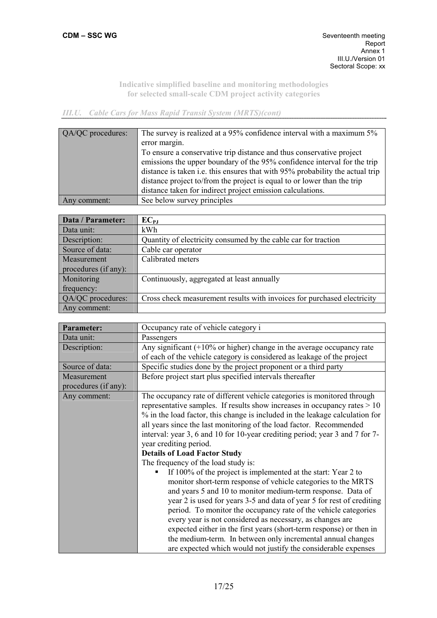# *III.U. Cable Cars for Mass Rapid Transit System (MRTS)(cont)*

| QA/QC procedures: | The survey is realized at a 95% confidence interval with a maximum 5%<br>error margin.<br>To ensure a conservative trip distance and thus conservative project<br>emissions the upper boundary of the 95% confidence interval for the trip<br>distance is taken i.e. this ensures that with 95% probability the actual trip<br>distance project to/from the project is equal to or lower than the trip |
|-------------------|--------------------------------------------------------------------------------------------------------------------------------------------------------------------------------------------------------------------------------------------------------------------------------------------------------------------------------------------------------------------------------------------------------|
|                   | distance taken for indirect project emission calculations.                                                                                                                                                                                                                                                                                                                                             |
|                   |                                                                                                                                                                                                                                                                                                                                                                                                        |
| Any comment:      | See below survey principles                                                                                                                                                                                                                                                                                                                                                                            |

| Data / Parameter:    | $EC_{PJ}$                                                               |
|----------------------|-------------------------------------------------------------------------|
| Data unit:           | kWh                                                                     |
| Description:         | Quantity of electricity consumed by the cable car for traction          |
| Source of data:      | Cable car operator                                                      |
| Measurement          | Calibrated meters                                                       |
| procedures (if any): |                                                                         |
| Monitoring           | Continuously, aggregated at least annually                              |
| frequency:           |                                                                         |
| QA/QC procedures:    | Cross check measurement results with invoices for purchased electricity |
| Any comment:         |                                                                         |

| <b>Parameter:</b>    | Occupancy rate of vehicle category i                                                                                                                                                                                                                                                                                                                                                                                                                                                                                                                                                                                                                                                                                                                                                                                                                                                                                                                                                                                                                                                                                    |
|----------------------|-------------------------------------------------------------------------------------------------------------------------------------------------------------------------------------------------------------------------------------------------------------------------------------------------------------------------------------------------------------------------------------------------------------------------------------------------------------------------------------------------------------------------------------------------------------------------------------------------------------------------------------------------------------------------------------------------------------------------------------------------------------------------------------------------------------------------------------------------------------------------------------------------------------------------------------------------------------------------------------------------------------------------------------------------------------------------------------------------------------------------|
| Data unit:           | Passengers                                                                                                                                                                                                                                                                                                                                                                                                                                                                                                                                                                                                                                                                                                                                                                                                                                                                                                                                                                                                                                                                                                              |
| Description:         | Any significant $(+10\% \text{ or higher})$ change in the average occupancy rate                                                                                                                                                                                                                                                                                                                                                                                                                                                                                                                                                                                                                                                                                                                                                                                                                                                                                                                                                                                                                                        |
|                      | of each of the vehicle category is considered as leakage of the project                                                                                                                                                                                                                                                                                                                                                                                                                                                                                                                                                                                                                                                                                                                                                                                                                                                                                                                                                                                                                                                 |
| Source of data:      | Specific studies done by the project proponent or a third party                                                                                                                                                                                                                                                                                                                                                                                                                                                                                                                                                                                                                                                                                                                                                                                                                                                                                                                                                                                                                                                         |
| Measurement          | Before project start plus specified intervals thereafter                                                                                                                                                                                                                                                                                                                                                                                                                                                                                                                                                                                                                                                                                                                                                                                                                                                                                                                                                                                                                                                                |
| procedures (if any): |                                                                                                                                                                                                                                                                                                                                                                                                                                                                                                                                                                                                                                                                                                                                                                                                                                                                                                                                                                                                                                                                                                                         |
| Any comment:         | The occupancy rate of different vehicle categories is monitored through<br>representative samples. If results show increases in occupancy rates $> 10$<br>% in the load factor, this change is included in the leakage calculation for<br>all years since the last monitoring of the load factor. Recommended<br>interval: year 3, 6 and 10 for 10-year crediting period; year 3 and 7 for 7-<br>year crediting period.<br><b>Details of Load Factor Study</b><br>The frequency of the load study is:<br>If 100% of the project is implemented at the start: Year 2 to<br>monitor short-term response of vehicle categories to the MRTS<br>and years 5 and 10 to monitor medium-term response. Data of<br>year 2 is used for years 3-5 and data of year 5 for rest of crediting<br>period. To monitor the occupancy rate of the vehicle categories<br>every year is not considered as necessary, as changes are<br>expected either in the first years (short-term response) or then in<br>the medium-term. In between only incremental annual changes<br>are expected which would not justify the considerable expenses |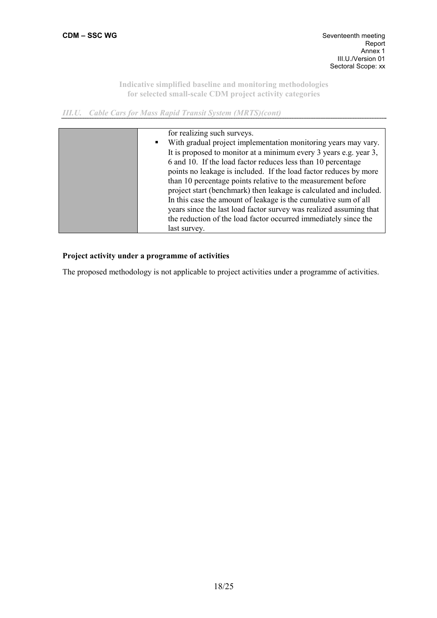*III.U. Cable Cars for Mass Rapid Transit System (MRTS)(cont)* 

| for realizing such surveys.                                        |
|--------------------------------------------------------------------|
| With gradual project implementation monitoring years may vary.     |
| It is proposed to monitor at a minimum every 3 years e.g. year 3,  |
| 6 and 10. If the load factor reduces less than 10 percentage       |
| points no leakage is included. If the load factor reduces by more  |
| than 10 percentage points relative to the measurement before       |
| project start (benchmark) then leakage is calculated and included. |
| In this case the amount of leakage is the cumulative sum of all    |
| years since the last load factor survey was realized assuming that |
| the reduction of the load factor occurred immediately since the    |
| last survey.                                                       |

# **Project activity under a programme of activities**

The proposed methodology is not applicable to project activities under a programme of activities.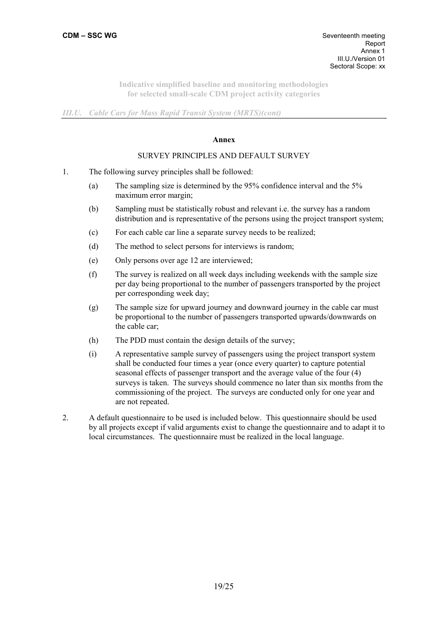*III.U. Cable Cars for Mass Rapid Transit System (MRTS)(cont)* 

#### **Annex**

#### SURVEY PRINCIPLES AND DEFAULT SURVEY

- 1. The following survey principles shall be followed:
	- (a) The sampling size is determined by the 95% confidence interval and the 5% maximum error margin;
	- (b) Sampling must be statistically robust and relevant i.e. the survey has a random distribution and is representative of the persons using the project transport system;
	- (c) For each cable car line a separate survey needs to be realized;
	- (d) The method to select persons for interviews is random;
	- (e) Only persons over age 12 are interviewed;
	- (f) The survey is realized on all week days including weekends with the sample size per day being proportional to the number of passengers transported by the project per corresponding week day;
	- (g) The sample size for upward journey and downward journey in the cable car must be proportional to the number of passengers transported upwards/downwards on the cable car;
	- (h) The PDD must contain the design details of the survey;
	- (i) A representative sample survey of passengers using the project transport system shall be conducted four times a year (once every quarter) to capture potential seasonal effects of passenger transport and the average value of the four (4) surveys is taken. The surveys should commence no later than six months from the commissioning of the project. The surveys are conducted only for one year and are not repeated.
- 2. A default questionnaire to be used is included below. This questionnaire should be used by all projects except if valid arguments exist to change the questionnaire and to adapt it to local circumstances. The questionnaire must be realized in the local language.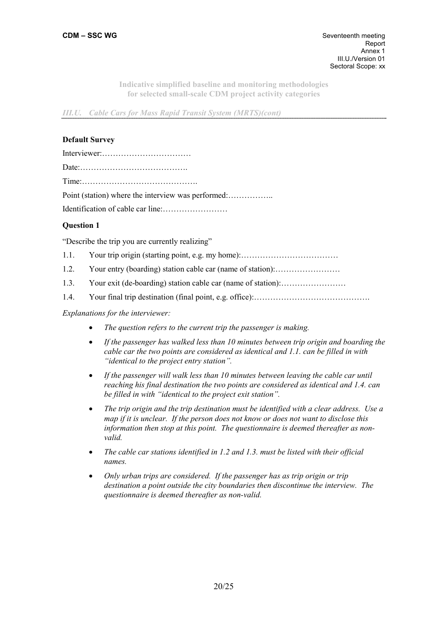*III.U. Cable Cars for Mass Rapid Transit System (MRTS)(cont)* 

#### **Default Survey**

# **Question 1**

"Describe the trip you are currently realizing"

- 1.1. Your trip origin (starting point, e.g. my home):………………………………
- 1.2. Your entry (boarding) station cable car (name of station):……………………
- 1.3. Your exit (de-boarding) station cable car (name of station):……………………
- 1.4. Your final trip destination (final point, e.g. office):…………………………………….

### *Explanations for the interviewer:*

- *The question refers to the current trip the passenger is making.*
- *If the passenger has walked less than 10 minutes between trip origin and boarding the cable car the two points are considered as identical and 1.1. can be filled in with "identical to the project entry station".*
- *If the passenger will walk less than 10 minutes between leaving the cable car until reaching his final destination the two points are considered as identical and 1.4. can be filled in with "identical to the project exit station".*
- *The trip origin and the trip destination must be identified with a clear address. Use a map if it is unclear. If the person does not know or does not want to disclose this information then stop at this point. The questionnaire is deemed thereafter as nonvalid.*
- *The cable car stations identified in 1.2 and 1.3. must be listed with their official names.*
- *Only urban trips are considered. If the passenger has as trip origin or trip destination a point outside the city boundaries then discontinue the interview. The questionnaire is deemed thereafter as non-valid.*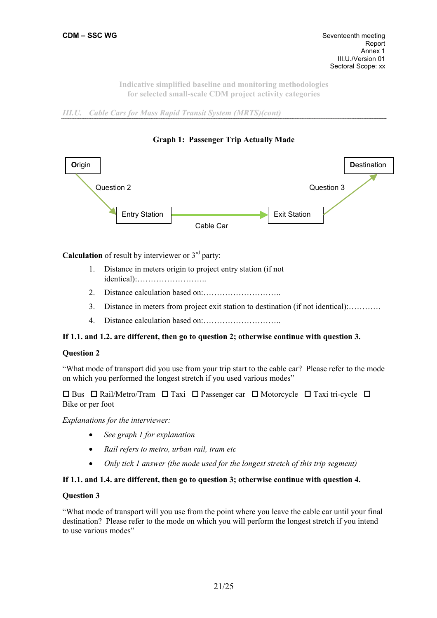*III.U. Cable Cars for Mass Rapid Transit System (MRTS)(cont)* 





**Calculation** of result by interviewer or  $3<sup>rd</sup>$  party:

- 1. Distance in meters origin to project entry station (if not identical):……………………..
- 2. Distance calculation based on:………………………..
- 3. Distance in meters from project exit station to destination (if not identical):…………
- 4. Distance calculation based on:………………………..

# **If 1.1. and 1.2. are different, then go to question 2; otherwise continue with question 3.**

#### **Question 2**

"What mode of transport did you use from your trip start to the cable car? Please refer to the mode on which you performed the longest stretch if you used various modes"

 $\Box$  Bus  $\Box$  Rail/Metro/Tram  $\Box$  Taxi  $\Box$  Passenger car  $\Box$  Motorcycle  $\Box$  Taxi tri-cycle  $\Box$ Bike or per foot

*Explanations for the interviewer:* 

- *See graph 1 for explanation*
- *Rail refers to metro, urban rail, tram etc*
- *Only tick 1 answer (the mode used for the longest stretch of this trip segment)*

#### **If 1.1. and 1.4. are different, then go to question 3; otherwise continue with question 4.**

#### **Question 3**

"What mode of transport will you use from the point where you leave the cable car until your final destination? Please refer to the mode on which you will perform the longest stretch if you intend to use various modes"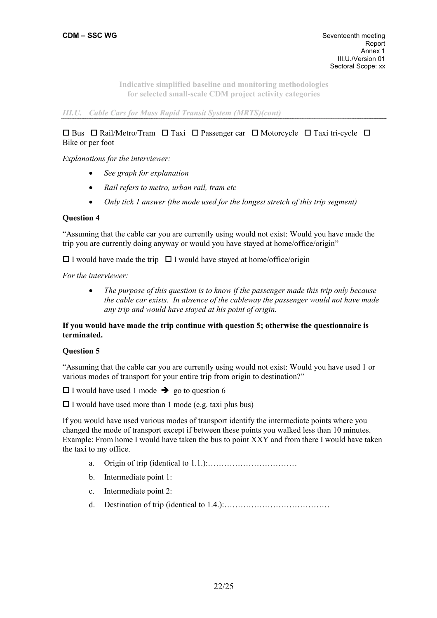*III.U. Cable Cars for Mass Rapid Transit System (MRTS)(cont)* 

# $\Box$  Bus  $\Box$  Rail/Metro/Tram  $\Box$  Taxi  $\Box$  Passenger car  $\Box$  Motorcycle  $\Box$  Taxi tri-cycle  $\Box$ Bike or per foot

*Explanations for the interviewer:* 

- *See graph for explanation*
- *Rail refers to metro, urban rail, tram etc*
- *Only tick 1 answer (the mode used for the longest stretch of this trip segment)*

## **Question 4**

"Assuming that the cable car you are currently using would not exist: Would you have made the trip you are currently doing anyway or would you have stayed at home/office/origin"

 $\Box$  I would have made the trip  $\Box$  I would have stayed at home/office/origin

*For the interviewer:* 

• *The purpose of this question is to know if the passenger made this trip only because the cable car exists. In absence of the cableway the passenger would not have made any trip and would have stayed at his point of origin.* 

## **If you would have made the trip continue with question 5; otherwise the questionnaire is terminated.**

#### **Question 5**

"Assuming that the cable car you are currently using would not exist: Would you have used 1 or various modes of transport for your entire trip from origin to destination?"

 $\square$  I would have used 1 mode  $\rightarrow$  go to question 6

 $\Box$  I would have used more than 1 mode (e.g. taxi plus bus)

If you would have used various modes of transport identify the intermediate points where you changed the mode of transport except if between these points you walked less than 10 minutes. Example: From home I would have taken the bus to point XXY and from there I would have taken the taxi to my office.

- a. Origin of trip (identical to  $1.1.$ ):  $\ldots$  ...  $\ldots$  ...  $\ldots$  ...
- b. Intermediate point 1:
- c. Intermediate point 2:
- d. Destination of trip (identical to 1.4.):…………………………………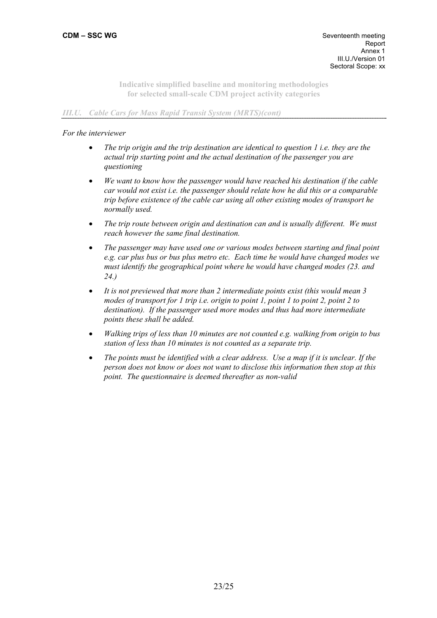## *III.U. Cable Cars for Mass Rapid Transit System (MRTS)(cont)*

### *For the interviewer*

- *The trip origin and the trip destination are identical to question 1 i.e. they are the actual trip starting point and the actual destination of the passenger you are questioning*
- *We want to know how the passenger would have reached his destination if the cable car would not exist i.e. the passenger should relate how he did this or a comparable trip before existence of the cable car using all other existing modes of transport he normally used.*
- *The trip route between origin and destination can and is usually different. We must reach however the same final destination.*
- *The passenger may have used one or various modes between starting and final point e.g. car plus bus or bus plus metro etc. Each time he would have changed modes we must identify the geographical point where he would have changed modes (23. and 24.)*
- *It is not previewed that more than 2 intermediate points exist (this would mean 3 modes of transport for 1 trip i.e. origin to point 1, point 1 to point 2, point 2 to destination). If the passenger used more modes and thus had more intermediate points these shall be added.*
- *Walking trips of less than 10 minutes are not counted e.g. walking from origin to bus station of less than 10 minutes is not counted as a separate trip.*
- *The points must be identified with a clear address. Use a map if it is unclear. If the person does not know or does not want to disclose this information then stop at this point. The questionnaire is deemed thereafter as non-valid*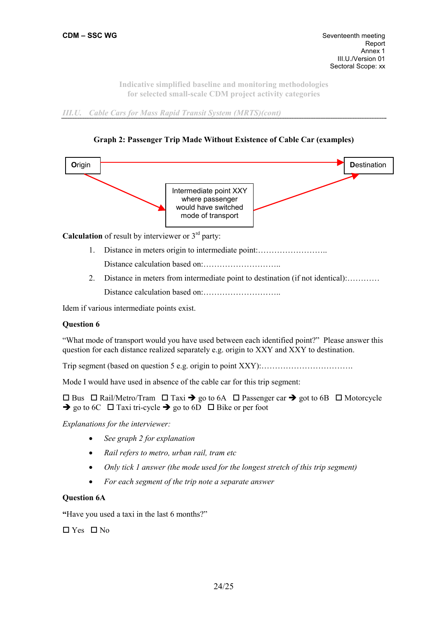*III.U. Cable Cars for Mass Rapid Transit System (MRTS)(cont)* 





**Calculation** of result by interviewer or  $3<sup>rd</sup>$  party:

1. Distance in meters origin to intermediate point:……………………..

Distance calculation based on:………………………..

2. Distance in meters from intermediate point to destination (if not identical):………… Distance calculation based on:………………………..

Idem if various intermediate points exist.

# **Question 6**

"What mode of transport would you have used between each identified point?" Please answer this question for each distance realized separately e.g. origin to XXY and XXY to destination.

Trip segment (based on question 5 e.g. origin to point XXY):…………………………….

Mode I would have used in absence of the cable car for this trip segment:

 $\Box$  Bus  $\Box$  Rail/Metro/Tram  $\Box$  Taxi  $\rightarrow$  go to 6A  $\Box$  Passenger car  $\rightarrow$  got to 6B  $\Box$  Motorcycle  $\rightarrow$  go to 6C  $\Box$  Taxi tri-cycle  $\rightarrow$  go to 6D  $\Box$  Bike or per foot

*Explanations for the interviewer:* 

- *See graph 2 for explanation*
- *Rail refers to metro, urban rail, tram etc*
- *Only tick 1 answer (the mode used for the longest stretch of this trip segment)*
- *For each segment of the trip note a separate answer*

# **Question 6A**

**"**Have you used a taxi in the last 6 months?"

 $\Box$  Yes  $\Box$  No